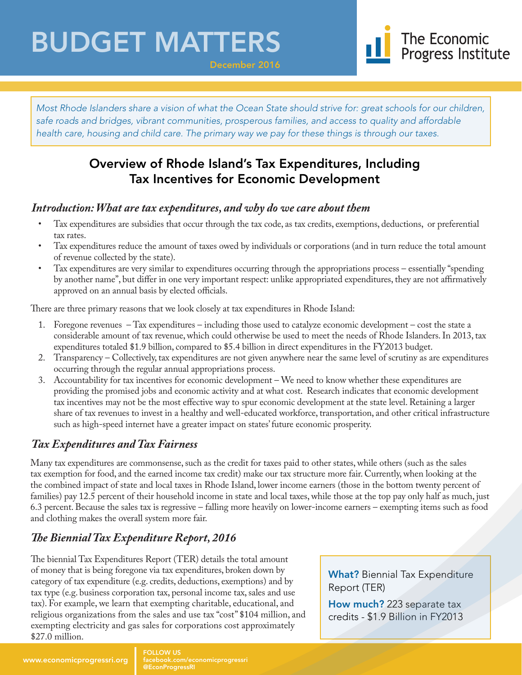## BUDGET MATTERS



*Most Rhode Islanders share a vision of what the Ocean State should strive for: great schools for our children, safe roads and bridges, vibrant communities, prosperous families, and access to quality and affordable health care, housing and child care. The primary way we pay for these things is through our taxes.*

December 2016

### Overview of Rhode Island's Tax Expenditures, Including Tax Incentives for Economic Development

#### *Introduction: What are tax expenditures, and why do we care about them*

- Tax expenditures are subsidies that occur through the tax code, as tax credits, exemptions, deductions, or preferential tax rates.
- Tax expenditures reduce the amount of taxes owed by individuals or corporations (and in turn reduce the total amount of revenue collected by the state).
- Tax expenditures are very similar to expenditures occurring through the appropriations process essentially "spending by another name", but differ in one very important respect: unlike appropriated expenditures, they are not affirmatively approved on an annual basis by elected officials.

There are three primary reasons that we look closely at tax expenditures in Rhode Island:

- 1. Foregone revenues Tax expenditures including those used to catalyze economic development cost the state a considerable amount of tax revenue, which could otherwise be used to meet the needs of Rhode Islanders. In 2013, tax expenditures totaled \$1.9 billion, compared to \$5.4 billion in direct expenditures in the FY2013 budget.
- 2. Transparency Collectively, tax expenditures are not given anywhere near the same level of scrutiny as are expenditures occurring through the regular annual appropriations process.
- 3. Accountability for tax incentives for economic development We need to know whether these expenditures are providing the promised jobs and economic activity and at what cost. Research indicates that economic development tax incentives may not be the most effective way to spur economic development at the state level. Retaining a larger share of tax revenues to invest in a healthy and well-educated workforce, transportation, and other critical infrastructure such as high-speed internet have a greater impact on states' future economic prosperity.

#### *Tax Expenditures and Tax Fairness*

www.economicprogressri.org

Many tax expenditures are commonsense, such as the credit for taxes paid to other states, while others (such as the sales tax exemption for food, and the earned income tax credit) make our tax structure more fair. Currently, when looking at the the combined impact of state and local taxes in Rhode Island, lower income earners (those in the bottom twenty percent of families) pay 12.5 percent of their household income in state and local taxes, while those at the top pay only half as much, just 6.3 percent. Because the sales tax is regressive – falling more heavily on lower-income earners – exempting items such as food and clothing makes the overall system more fair.

### *The Biennial Tax Expenditure Report, 2016*

The biennial Tax Expenditures Report (TER) details the total amount of money that is being foregone via tax expenditures, broken down by category of tax expenditure (e.g. credits, deductions, exemptions) and by tax type (e.g. business corporation tax, personal income tax, sales and use tax). For example, we learn that exempting charitable, educational, and religious organizations from the sales and use tax "cost" \$104 million, and exempting electricity and gas sales for corporations cost approximately \$27.0 million.

What? Biennial Tax Expenditure Report (TER)

How much? 223 separate tax credits - \$1.9 Billion in FY2013

FOLLOW US

facebook.com/economicprogressri @EconProgressRI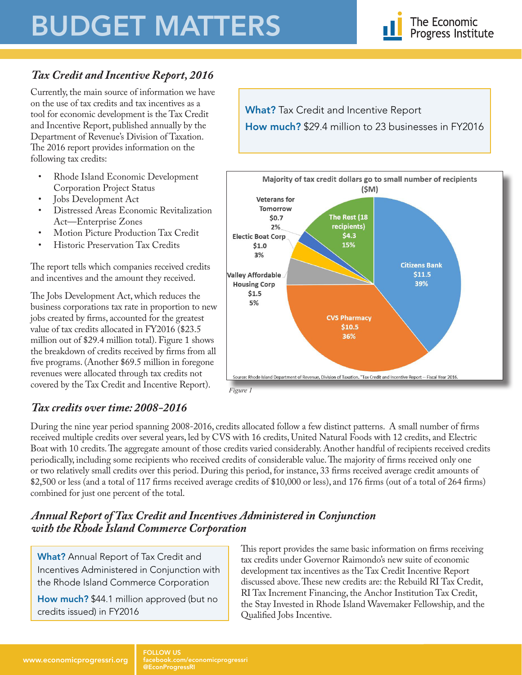# BUDGET MATTERS



#### *Tax Credit and Incentive Report, 2016*

Currently, the main source of information we have on the use of tax credits and tax incentives as a tool for economic development is the Tax Credit and Incentive Report, published annually by the Department of Revenue's Division of Taxation. The 2016 report provides information on the following tax credits:

- Rhode Island Economic Development Corporation Project Status
- Jobs Development Act<br>• Distressed Areas Econe
- Distressed Areas Economic Revitalization Act—Enterprise Zones
- Motion Picture Production Tax Credit
- Historic Preservation Tax Credits

The report tells which companies received credits and incentives and the amount they received.

The Jobs Development Act, which reduces the business corporations tax rate in proportion to new jobs created by firms, accounted for the greatest value of tax credits allocated in FY2016 (\$23.5 million out of \$29.4 million total). Figure 1 shows the breakdown of credits received by firms from all five programs. (Another \$69.5 million in foregone revenues were allocated through tax credits not covered by the Tax Credit and Incentive Report).

**What?** Tax Credit and Incentive Report How much? \$29.4 million to 23 businesses in FY2016



#### *Tax credits over time: 2008-2016*

During the nine year period spanning 2008-2016, credits allocated follow a few distinct patterns. A small number of firms received multiple credits over several years, led by CVS with 16 credits, United Natural Foods with 12 credits, and Electric Boat with 10 credits. The aggregate amount of those credits varied considerably. Another handful of recipients received credits periodically, including some recipients who received credits of considerable value. The majority of firms received only one or two relatively small credits over this period. During this period, for instance, 33 firms received average credit amounts of \$2,500 or less (and a total of 117 firms received average credits of \$10,000 or less), and 176 firms (out of a total of 264 firms) combined for just one percent of the total.

#### *Annual Report of Tax Credit and Incentives Administered in Conjunction with the Rhode Island Commerce Corporation*

What? Annual Report of Tax Credit and Incentives Administered in Conjunction with the Rhode Island Commerce Corporation

How much? \$44.1 million approved (but no credits issued) in FY2016

This report provides the same basic information on firms receiving tax credits under Governor Raimondo's new suite of economic development tax incentives as the Tax Credit Incentive Report discussed above. These new credits are: the Rebuild RI Tax Credit, RI Tax Increment Financing, the Anchor Institution Tax Credit, the Stay Invested in Rhode Island Wavemaker Fellowship, and the Qualified Jobs Incentive.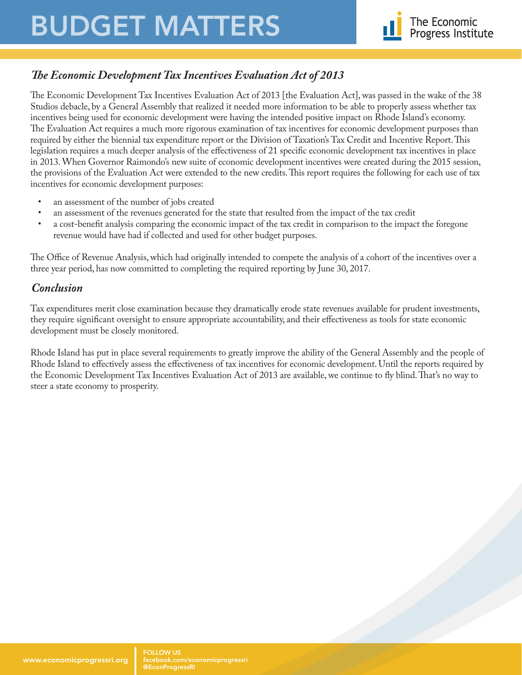# BUDGET MATTERS



#### *The Economic Development Tax Incentives Evaluation Act of 2013*

The Economic Development Tax Incentives Evaluation Act of 2013 [the Evaluation Act], was passed in the wake of the 38 Studios debacle, by a General Assembly that realized it needed more information to be able to properly assess whether tax incentives being used for economic development were having the intended positive impact on Rhode Island's economy. The Evaluation Act requires a much more rigorous examination of tax incentives for economic development purposes than required by either the biennial tax expenditure report or the Division of Taxation's Tax Credit and Incentive Report. This legislation requires a much deeper analysis of the effectiveness of 21 specific economic development tax incentives in place in 2013. When Governor Raimondo's new suite of economic development incentives were created during the 2015 session, the provisions of the Evaluation Act were extended to the new credits. This report requires the following for each use of tax incentives for economic development purposes:

- an assessment of the number of jobs created<br>• an assessment of the revenues generated for
- an assessment of the revenues generated for the state that resulted from the impact of the tax credit
- a cost-benefit analysis comparing the economic impact of the tax credit in comparison to the impact the foregone revenue would have had if collected and used for other budget purposes.

The Office of Revenue Analysis, which had originally intended to compete the analysis of a cohort of the incentives over a three year period, has now committed to completing the required reporting by June 30, 2017.

#### *Conclusion*

Tax expenditures merit close examination because they dramatically erode state revenues available for prudent investments, they require significant oversight to ensure appropriate accountability, and their effectiveness as tools for state economic development must be closely monitored.

Rhode Island has put in place several requirements to greatly improve the ability of the General Assembly and the people of Rhode Island to effectively assess the effectiveness of tax incentives for economic development. Until the reports required by the Economic Development Tax Incentives Evaluation Act of 2013 are available, we continue to fly blind. That's no way to steer a state economy to prosperity.

facebook.com/economicprogressri @EconProgressRI